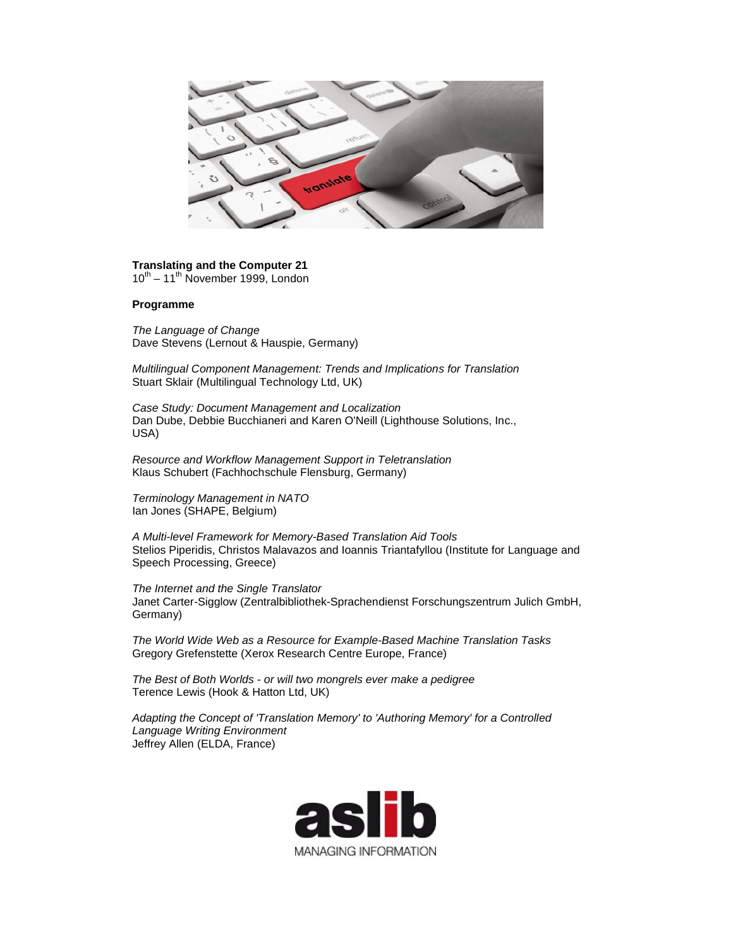

## **Translating and the Computer 21**

 $10^{th}$  – 11<sup>th</sup> November 1999, London

## **Programme**

*The Language of Change* Dave Stevens (Lernout & Hauspie, Germany)

*Multilingual Component Management: Trends and Implications for Translation* Stuart Sklair (Multilingual Technology Ltd, UK)

*Case Study: Document Management and Localization* Dan Dube, Debbie Bucchianeri and Karen O'Neill (Lighthouse Solutions, Inc., USA)

*Resource and Workflow Management Support in Teletranslation* Klaus Schubert (Fachhochschule Flensburg, Germany)

*Terminology Management in NATO* Ian Jones (SHAPE, Belgium)

*A Multi-level Framework for Memory-Based Translation Aid Tools* Stelios Piperidis, Christos Malavazos and Ioannis Triantafyllou (Institute for Language and Speech Processing, Greece)

*The Internet and the Single Translator* Janet Carter-Sigglow (Zentralbibliothek-Sprachendienst Forschungszentrum Julich GmbH, Germany)

*The World Wide Web as a Resource for Example-Based Machine Translation Tasks* Gregory Grefenstette (Xerox Research Centre Europe, France)

*The Best of Both Worlds - or will two mongrels ever make a pedigree* Terence Lewis (Hook & Hatton Ltd, UK)

*Adapting the Concept of 'Translation Memory' to 'Authoring Memory' for a Controlled Language Writing Environment* Jeffrey Allen (ELDA, France)